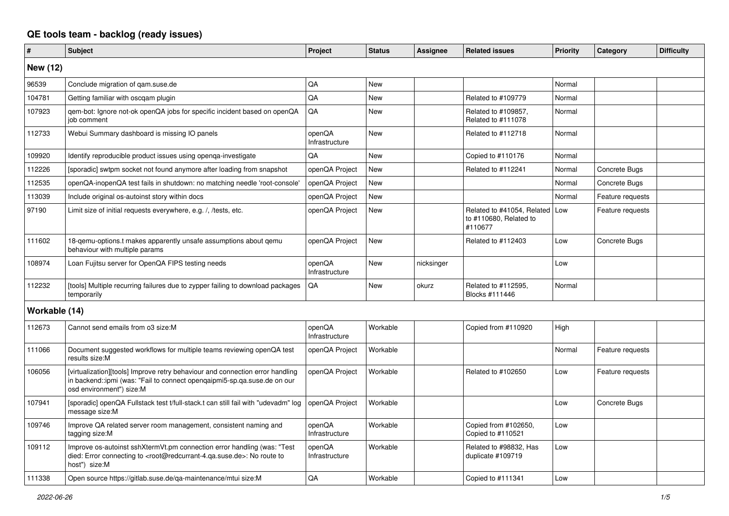## **QE tools team - backlog (ready issues)**

| $\vert$ #       | <b>Subject</b>                                                                                                                                                                                    | Project                  | <b>Status</b> | Assignee   | <b>Related issues</b>                                                 | <b>Priority</b> | Category         | <b>Difficulty</b> |
|-----------------|---------------------------------------------------------------------------------------------------------------------------------------------------------------------------------------------------|--------------------------|---------------|------------|-----------------------------------------------------------------------|-----------------|------------------|-------------------|
| <b>New (12)</b> |                                                                                                                                                                                                   |                          |               |            |                                                                       |                 |                  |                   |
| 96539           | Conclude migration of gam.suse.de                                                                                                                                                                 | QA                       | <b>New</b>    |            |                                                                       | Normal          |                  |                   |
| 104781          | Getting familiar with oscqam plugin                                                                                                                                                               | QA                       | New           |            | Related to #109779                                                    | Normal          |                  |                   |
| 107923          | qem-bot: Ignore not-ok openQA jobs for specific incident based on openQA<br>iob comment                                                                                                           | QA                       | <b>New</b>    |            | Related to #109857,<br>Related to #111078                             | Normal          |                  |                   |
| 112733          | Webui Summary dashboard is missing IO panels                                                                                                                                                      | openQA<br>Infrastructure | <b>New</b>    |            | Related to #112718                                                    | Normal          |                  |                   |
| 109920          | Identify reproducible product issues using openga-investigate                                                                                                                                     | QA                       | <b>New</b>    |            | Copied to #110176                                                     | Normal          |                  |                   |
| 112226          | [sporadic] swtpm socket not found anymore after loading from snapshot                                                                                                                             | openQA Project           | New           |            | Related to #112241                                                    | Normal          | Concrete Bugs    |                   |
| 112535          | openQA-inopenQA test fails in shutdown: no matching needle 'root-console'                                                                                                                         | openQA Project           | <b>New</b>    |            |                                                                       | Normal          | Concrete Bugs    |                   |
| 113039          | Include original os-autoinst story within docs                                                                                                                                                    | openQA Project           | <b>New</b>    |            |                                                                       | Normal          | Feature requests |                   |
| 97190           | Limit size of initial requests everywhere, e.g. /, /tests, etc.                                                                                                                                   | openQA Project           | <b>New</b>    |            | Related to #41054, Related   Low<br>to #110680, Related to<br>#110677 |                 | Feature requests |                   |
| 111602          | 18-gemu-options.t makes apparently unsafe assumptions about gemu<br>behaviour with multiple params                                                                                                | openQA Project           | New           |            | Related to #112403                                                    | Low             | Concrete Bugs    |                   |
| 108974          | Loan Fujitsu server for OpenQA FIPS testing needs                                                                                                                                                 | openQA<br>Infrastructure | New           | nicksinger |                                                                       | Low             |                  |                   |
| 112232          | [tools] Multiple recurring failures due to zypper failing to download packages<br>temporarily                                                                                                     | QA                       | <b>New</b>    | okurz      | Related to #112595,<br>Blocks #111446                                 | Normal          |                  |                   |
| Workable (14)   |                                                                                                                                                                                                   |                          |               |            |                                                                       |                 |                  |                   |
| 112673          | Cannot send emails from o3 size:M                                                                                                                                                                 | openQA<br>Infrastructure | Workable      |            | Copied from #110920                                                   | High            |                  |                   |
| 111066          | Document suggested workflows for multiple teams reviewing openQA test<br>results size:M                                                                                                           | openQA Project           | Workable      |            |                                                                       | Normal          | Feature requests |                   |
| 106056          | [virtualization][tools] Improve retry behaviour and connection error handling<br>in backend::ipmi (was: "Fail to connect openqaipmi5-sp.qa.suse.de on our<br>osd environment") size:M             | openQA Project           | Workable      |            | Related to #102650                                                    | Low             | Feature requests |                   |
| 107941          | [sporadic] openQA Fullstack test t/full-stack.t can still fail with "udevadm" log<br>message size:M                                                                                               | openQA Project           | Workable      |            |                                                                       | Low             | Concrete Bugs    |                   |
| 109746          | Improve QA related server room management, consistent naming and<br>tagging size:M                                                                                                                | openQA<br>Infrastructure | Workable      |            | Copied from #102650,<br>Copied to #110521                             | Low             |                  |                   |
| 109112          | Improve os-autoinst sshXtermVt.pm connection error handling (was: "Test<br>died: Error connecting to <root@redcurrant-4.qa.suse.de>: No route to<br/>host") size:M</root@redcurrant-4.qa.suse.de> | openQA<br>Infrastructure | Workable      |            | Related to #98832, Has<br>duplicate #109719                           | Low             |                  |                   |
| 111338          | Open source https://gitlab.suse.de/qa-maintenance/mtui size:M                                                                                                                                     | QA                       | Workable      |            | Copied to #111341                                                     | Low             |                  |                   |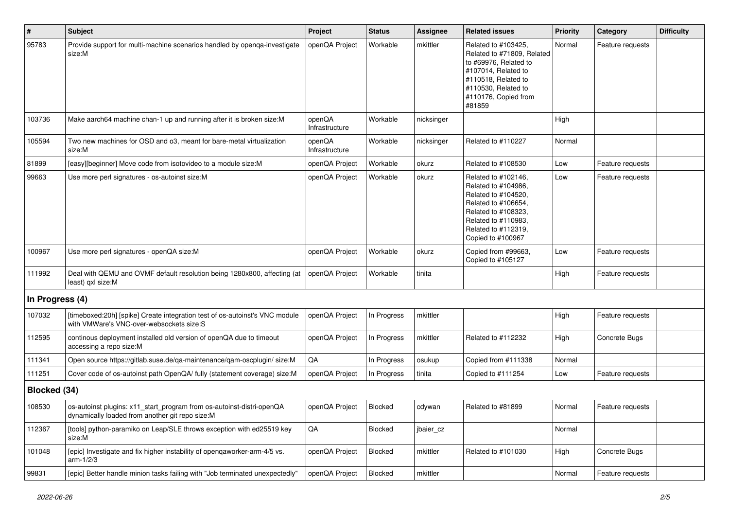| $\sharp$        | <b>Subject</b>                                                                                                           | Project                  | <b>Status</b> | <b>Assignee</b> | <b>Related issues</b>                                                                                                                                                              | <b>Priority</b> | Category         | <b>Difficulty</b> |
|-----------------|--------------------------------------------------------------------------------------------------------------------------|--------------------------|---------------|-----------------|------------------------------------------------------------------------------------------------------------------------------------------------------------------------------------|-----------------|------------------|-------------------|
| 95783           | Provide support for multi-machine scenarios handled by openga-investigate<br>size:M                                      | openQA Project           | Workable      | mkittler        | Related to #103425,<br>Related to #71809, Related<br>to #69976, Related to<br>#107014, Related to<br>#110518, Related to<br>#110530, Related to<br>#110176, Copied from<br>#81859  | Normal          | Feature requests |                   |
| 103736          | Make aarch64 machine chan-1 up and running after it is broken size:M                                                     | openQA<br>Infrastructure | Workable      | nicksinger      |                                                                                                                                                                                    | High            |                  |                   |
| 105594          | Two new machines for OSD and o3, meant for bare-metal virtualization<br>size:M                                           | openQA<br>Infrastructure | Workable      | nicksinger      | Related to #110227                                                                                                                                                                 | Normal          |                  |                   |
| 81899           | [easy][beginner] Move code from isotovideo to a module size:M                                                            | openQA Project           | Workable      | okurz           | Related to #108530                                                                                                                                                                 | Low             | Feature requests |                   |
| 99663           | Use more perl signatures - os-autoinst size:M                                                                            | openQA Project           | Workable      | okurz           | Related to #102146,<br>Related to #104986,<br>Related to #104520,<br>Related to #106654,<br>Related to #108323,<br>Related to #110983,<br>Related to #112319,<br>Copied to #100967 | Low             | Feature requests |                   |
| 100967          | Use more perl signatures - openQA size:M                                                                                 | openQA Project           | Workable      | okurz           | Copied from #99663,<br>Copied to #105127                                                                                                                                           | Low             | Feature requests |                   |
| 111992          | Deal with QEMU and OVMF default resolution being 1280x800, affecting (at<br>least) qxl size:M                            | openQA Project           | Workable      | tinita          |                                                                                                                                                                                    | High            | Feature requests |                   |
| In Progress (4) |                                                                                                                          |                          |               |                 |                                                                                                                                                                                    |                 |                  |                   |
| 107032          | [timeboxed:20h] [spike] Create integration test of os-autoinst's VNC module<br>with VMWare's VNC-over-websockets size:S  | openQA Project           | In Progress   | mkittler        |                                                                                                                                                                                    | High            | Feature requests |                   |
| 112595          | continous deployment installed old version of openQA due to timeout<br>accessing a repo size:M                           | openQA Project           | In Progress   | mkittler        | Related to #112232                                                                                                                                                                 | High            | Concrete Bugs    |                   |
| 111341          | Open source https://gitlab.suse.de/qa-maintenance/qam-oscplugin/ size:M                                                  | QA                       | In Progress   | osukup          | Copied from #111338                                                                                                                                                                | Normal          |                  |                   |
| 111251          | Cover code of os-autoinst path OpenQA/ fully (statement coverage) size:M                                                 | openQA Project           | In Progress   | tinita          | Copied to #111254                                                                                                                                                                  | Low             | Feature requests |                   |
| Blocked (34)    |                                                                                                                          |                          |               |                 |                                                                                                                                                                                    |                 |                  |                   |
| 108530          | os-autoinst plugins: x11_start_program from os-autoinst-distri-openQA<br>dynamically loaded from another git repo size:M | openQA Project           | Blocked       | cdywan          | Related to #81899                                                                                                                                                                  | Normal          | Feature requests |                   |
| 112367          | [tools] python-paramiko on Leap/SLE throws exception with ed25519 key<br>size:M                                          | QA                       | Blocked       | jbaier_cz       |                                                                                                                                                                                    | Normal          |                  |                   |
| 101048          | [epic] Investigate and fix higher instability of opengaworker-arm-4/5 vs.<br>arm-1/2/3                                   | openQA Project           | Blocked       | mkittler        | Related to #101030                                                                                                                                                                 | High            | Concrete Bugs    |                   |
| 99831           | [epic] Better handle minion tasks failing with "Job terminated unexpectedly"                                             | openQA Project           | Blocked       | mkittler        |                                                                                                                                                                                    | Normal          | Feature requests |                   |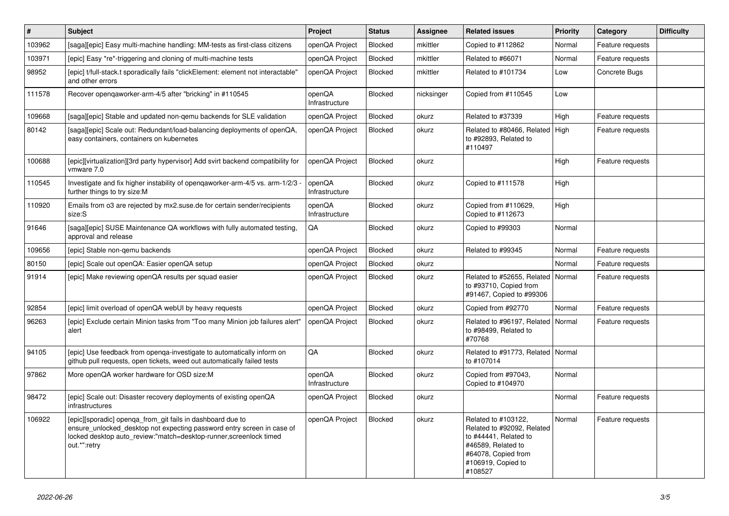| $\sharp$ | <b>Subject</b>                                                                                                                                                                                                             | Project                  | <b>Status</b> | <b>Assignee</b> | <b>Related issues</b>                                                                                                                                    | <b>Priority</b> | Category         | <b>Difficulty</b> |
|----------|----------------------------------------------------------------------------------------------------------------------------------------------------------------------------------------------------------------------------|--------------------------|---------------|-----------------|----------------------------------------------------------------------------------------------------------------------------------------------------------|-----------------|------------------|-------------------|
| 103962   | [saga][epic] Easy multi-machine handling: MM-tests as first-class citizens                                                                                                                                                 | openQA Project           | Blocked       | mkittler        | Copied to #112862                                                                                                                                        | Normal          | Feature requests |                   |
| 103971   | [epic] Easy *re*-triggering and cloning of multi-machine tests                                                                                                                                                             | openQA Project           | Blocked       | mkittler        | Related to #66071                                                                                                                                        | Normal          | Feature requests |                   |
| 98952    | [epic] t/full-stack.t sporadically fails "clickElement: element not interactable"<br>and other errors                                                                                                                      | openQA Project           | Blocked       | mkittler        | Related to #101734                                                                                                                                       | Low             | Concrete Bugs    |                   |
| 111578   | Recover opengaworker-arm-4/5 after "bricking" in #110545                                                                                                                                                                   | openQA<br>Infrastructure | Blocked       | nicksinger      | Copied from #110545                                                                                                                                      | Low             |                  |                   |
| 109668   | [saga][epic] Stable and updated non-gemu backends for SLE validation                                                                                                                                                       | openQA Project           | Blocked       | okurz           | Related to #37339                                                                                                                                        | High            | Feature requests |                   |
| 80142    | [saga][epic] Scale out: Redundant/load-balancing deployments of openQA,<br>easy containers, containers on kubernetes                                                                                                       | openQA Project           | Blocked       | okurz           | Related to #80466, Related<br>to #92893, Related to<br>#110497                                                                                           | High            | Feature requests |                   |
| 100688   | [epic][virtualization][3rd party hypervisor] Add svirt backend compatibility for<br>vmware 7.0                                                                                                                             | openQA Project           | Blocked       | okurz           |                                                                                                                                                          | High            | Feature requests |                   |
| 110545   | Investigate and fix higher instability of opengaworker-arm-4/5 vs. arm-1/2/3<br>further things to try size:M                                                                                                               | openQA<br>Infrastructure | Blocked       | okurz           | Copied to #111578                                                                                                                                        | High            |                  |                   |
| 110920   | Emails from o3 are rejected by mx2.suse.de for certain sender/recipients<br>size:S                                                                                                                                         | openQA<br>Infrastructure | Blocked       | okurz           | Copied from #110629,<br>Copied to #112673                                                                                                                | High            |                  |                   |
| 91646    | [saga][epic] SUSE Maintenance QA workflows with fully automated testing.<br>approval and release                                                                                                                           | QA                       | Blocked       | okurz           | Copied to #99303                                                                                                                                         | Normal          |                  |                   |
| 109656   | [epic] Stable non-qemu backends                                                                                                                                                                                            | openQA Project           | Blocked       | okurz           | Related to #99345                                                                                                                                        | Normal          | Feature requests |                   |
| 80150    | [epic] Scale out openQA: Easier openQA setup                                                                                                                                                                               | openQA Project           | Blocked       | okurz           |                                                                                                                                                          | Normal          | Feature requests |                   |
| 91914    | [epic] Make reviewing openQA results per squad easier                                                                                                                                                                      | openQA Project           | Blocked       | okurz           | Related to #52655, Related<br>to #93710, Copied from<br>#91467, Copied to #99306                                                                         | Normal          | Feature requests |                   |
| 92854    | [epic] limit overload of openQA webUI by heavy requests                                                                                                                                                                    | openQA Project           | Blocked       | okurz           | Copied from #92770                                                                                                                                       | Normal          | Feature requests |                   |
| 96263    | [epic] Exclude certain Minion tasks from "Too many Minion job failures alert"<br>alert                                                                                                                                     | openQA Project           | Blocked       | okurz           | Related to #96197, Related<br>to #98499, Related to<br>#70768                                                                                            | Normal          | Feature requests |                   |
| 94105    | [epic] Use feedback from openga-investigate to automatically inform on<br>github pull requests, open tickets, weed out automatically failed tests                                                                          | QA                       | Blocked       | okurz           | Related to #91773, Related<br>to #107014                                                                                                                 | Normal          |                  |                   |
| 97862    | More openQA worker hardware for OSD size:M                                                                                                                                                                                 | openQA<br>Infrastructure | Blocked       | okurz           | Copied from #97043.<br>Copied to #104970                                                                                                                 | Normal          |                  |                   |
| 98472    | [epic] Scale out: Disaster recovery deployments of existing openQA<br>infrastructures                                                                                                                                      | openQA Project           | Blocked       | okurz           |                                                                                                                                                          | Normal          | Feature requests |                   |
| 106922   | [epic][sporadic] openqa_from_git fails in dashboard due to<br>ensure_unlocked_desktop not expecting password entry screen in case of<br>locked desktop auto review:"match=desktop-runner, screenlock timed<br>out.*":retry | openQA Project           | Blocked       | okurz           | Related to #103122,<br>Related to #92092, Related<br>to #44441, Related to<br>#46589, Related to<br>#64078, Copied from<br>#106919, Copied to<br>#108527 | Normal          | Feature requests |                   |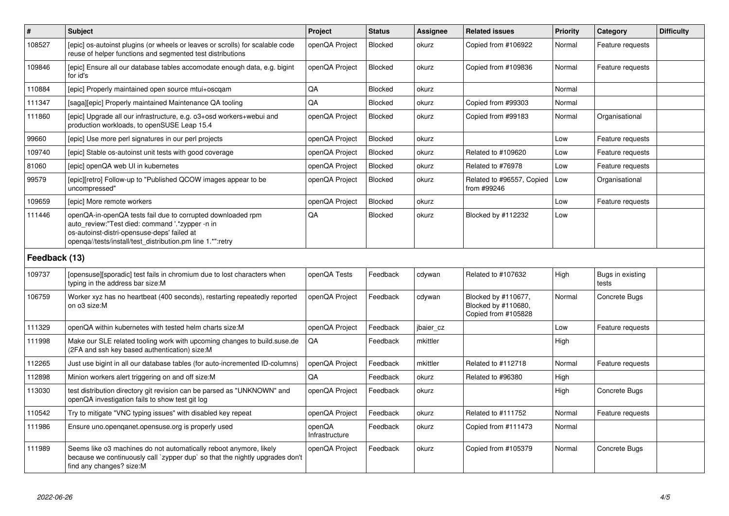| $\vert$ #     | <b>Subject</b>                                                                                                                                                                                                              | <b>Project</b>           | <b>Status</b>  | Assignee  | <b>Related issues</b>                                             | <b>Priority</b> | Category                  | <b>Difficulty</b> |
|---------------|-----------------------------------------------------------------------------------------------------------------------------------------------------------------------------------------------------------------------------|--------------------------|----------------|-----------|-------------------------------------------------------------------|-----------------|---------------------------|-------------------|
| 108527        | [epic] os-autoinst plugins (or wheels or leaves or scrolls) for scalable code<br>reuse of helper functions and segmented test distributions                                                                                 | openQA Project           | Blocked        | okurz     | Copied from #106922                                               | Normal          | Feature requests          |                   |
| 109846        | [epic] Ensure all our database tables accomodate enough data, e.g. bigint<br>for id's                                                                                                                                       | openQA Project           | Blocked        | okurz     | Copied from #109836                                               | Normal          | Feature requests          |                   |
| 110884        | [epic] Properly maintained open source mtui+oscgam                                                                                                                                                                          | QA                       | Blocked        | okurz     |                                                                   | Normal          |                           |                   |
| 111347        | [saga][epic] Properly maintained Maintenance QA tooling                                                                                                                                                                     | QA                       | Blocked        | okurz     | Copied from #99303                                                | Normal          |                           |                   |
| 111860        | [epic] Upgrade all our infrastructure, e.g. o3+osd workers+webui and<br>production workloads, to openSUSE Leap 15.4                                                                                                         | openQA Project           | Blocked        | okurz     | Copied from #99183                                                | Normal          | Organisational            |                   |
| 99660         | [epic] Use more perl signatures in our perl projects                                                                                                                                                                        | openQA Project           | Blocked        | okurz     |                                                                   | Low             | Feature requests          |                   |
| 109740        | [epic] Stable os-autoinst unit tests with good coverage                                                                                                                                                                     | openQA Project           | Blocked        | okurz     | Related to #109620                                                | Low             | Feature requests          |                   |
| 81060         | [epic] openQA web UI in kubernetes                                                                                                                                                                                          | openQA Project           | Blocked        | okurz     | Related to #76978                                                 | Low             | Feature requests          |                   |
| 99579         | [epic][retro] Follow-up to "Published QCOW images appear to be<br>uncompressed"                                                                                                                                             | openQA Project           | <b>Blocked</b> | okurz     | Related to #96557, Copied<br>from #99246                          | Low             | Organisational            |                   |
| 109659        | [epic] More remote workers                                                                                                                                                                                                  | openQA Project           | <b>Blocked</b> | okurz     |                                                                   | Low             | Feature requests          |                   |
| 111446        | openQA-in-openQA tests fail due to corrupted downloaded rpm<br>auto_review:"Test died: command '.*zypper -n in<br>os-autoinst-distri-opensuse-deps' failed at<br>openga//tests/install/test_distribution.pm line 1.*":retry | QA                       | Blocked        | okurz     | Blocked by #112232                                                | Low             |                           |                   |
| Feedback (13) |                                                                                                                                                                                                                             |                          |                |           |                                                                   |                 |                           |                   |
| 109737        | [opensuse][sporadic] test fails in chromium due to lost characters when<br>typing in the address bar size:M                                                                                                                 | openQA Tests             | Feedback       | cdywan    | Related to #107632                                                | High            | Bugs in existing<br>tests |                   |
| 106759        | Worker xyz has no heartbeat (400 seconds), restarting repeatedly reported<br>on o3 size:M                                                                                                                                   | openQA Project           | Feedback       | cdywan    | Blocked by #110677,<br>Blocked by #110680,<br>Copied from #105828 | Normal          | Concrete Bugs             |                   |
| 111329        | openQA within kubernetes with tested helm charts size:M                                                                                                                                                                     | openQA Project           | Feedback       | jbaier_cz |                                                                   | Low             | Feature requests          |                   |
| 111998        | Make our SLE related tooling work with upcoming changes to build.suse.de<br>(2FA and ssh key based authentication) size:M                                                                                                   | QA                       | Feedback       | mkittler  |                                                                   | High            |                           |                   |
| 112265        | Just use bigint in all our database tables (for auto-incremented ID-columns)                                                                                                                                                | openQA Project           | Feedback       | mkittler  | Related to #112718                                                | Normal          | Feature requests          |                   |
| 112898        | Minion workers alert triggering on and off size: M                                                                                                                                                                          | QA                       | Feedback       | okurz     | Related to #96380                                                 | High            |                           |                   |
| 113030        | test distribution directory git revision can be parsed as "UNKNOWN" and<br>openQA investigation fails to show test git log                                                                                                  | openQA Project           | Feedback       | okurz     |                                                                   | High            | Concrete Bugs             |                   |
| 110542        | Try to mitigate "VNC typing issues" with disabled key repeat                                                                                                                                                                | openQA Project           | Feedback       | okurz     | Related to #111752                                                | Normal          | Feature requests          |                   |
| 111986        | Ensure uno.openqanet.opensuse.org is properly used                                                                                                                                                                          | openQA<br>Infrastructure | Feedback       | okurz     | Copied from #111473                                               | Normal          |                           |                   |
| 111989        | Seems like o3 machines do not automatically reboot anymore, likely<br>because we continuously call `zypper dup` so that the nightly upgrades don't<br>find any changes? size:M                                              | openQA Project           | Feedback       | okurz     | Copied from #105379                                               | Normal          | Concrete Bugs             |                   |